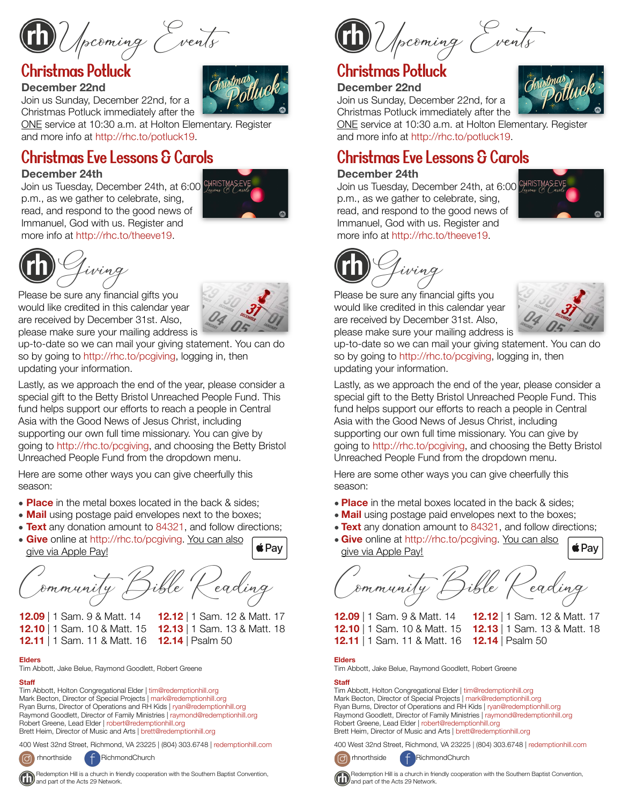Upcoming Events

# Christmas Potluck

#### **December 22nd**  Join us Sunday, December 22nd, for a

Christmas Potluck immediately after the ONE service at 10:30 a.m. at Holton Elementary. Register and more info at [http://rhc.to/potluck19.](http://rhc.to/potluck19)

# Christmas Eve Lessons & Carols

#### **December 24th**

Join us Tuesday, December 24th, at 6:00 CHRISTMASEV p.m., as we gather to celebrate, sing, read, and respond to the good news of Immanuel, God with us. Register and more info at <http://rhc.to/theeve19>.





Please be sure any financial gifts you would like credited in this calendar year are received by December 31st. Also, please make sure your mailing address is

up-to-date so we can mail your giving statement. You can do so by going to [http://rhc.to/pcgiving,](http://rhc.to/pcgiving) logging in, then updating your information.

Lastly, as we approach the end of the year, please consider a special gift to the Betty Bristol Unreached People Fund. This fund helps support our efforts to reach a people in Central Asia with the Good News of Jesus Christ, including supporting our own full time missionary. You can give by going to [http://rhc.to/pcgiving,](http://rhc.to/pcgiving) and choosing the Betty Bristol Unreached People Fund from the dropdown menu.

Here are some other ways you can give cheerfully this season:

- **Place** in the metal boxes located in the back & sides;
- **Mail** using postage paid envelopes next to the boxes;
- **Text** any donation amount to 84321, and follow directions;
- **Give** online at<http://rhc.to/pcgiving>. You can also give via Apple Pay!

Community Bible Reading

**12.09** | 1 Sam. 9 & Matt. 14 **12.12** | 1 Sam. 12 & Matt. 17 **12.10** | 1 Sam. 10 & Matt. 15 **12.13** | 1 Sam. 13 & Matt. 18

 $\triangle$ Pay

**12.11** | 1 Sam. 11 & Matt. 16 **12.14** | Psalm 50

#### **Elders**

Tim Abbott, Jake Belue, Raymond Goodlett, Robert Greene

#### **Staff**

Tim Abbott, Holton Congregational Elder | [tim@redemptionhill.org](mailto:tim@redemptionhill.org) Mark Becton, Director of Special Projects | [mark@redemptionhill.org](mailto:mark@redemptionhill.org) Ryan Burns, Director of Operations and RH Kids | [ryan@redemptionhill.org](mailto:ryan@redemptionhill.org) Raymond Goodlett, Director of Family Ministries | [raymond@redemptionhill.org](mailto:raymond@redemptionhill.org) Robert Greene, Lead Elder | [robert@redemptionhill.org](mailto:robert@redemptionhill.org) Brett Heim, Director of Music and Arts | [brett@redemptionhill.org](mailto:brett@redemptionhill.org)

400 West 32nd Street, Richmond, VA 23225 | (804) 303.6748 | [redemptionhill.com](http://redemptionhill.com)



com rhnorthside f RichmondChurch



Upcoming Events

# Christmas Potluck

#### **December 22nd**

Join us Sunday, December 22nd, for a Christmas Potluck immediately after the

ONE service at 10:30 a.m. at Holton Elementary. Register



#### **December 24th**

Join us Tuesday, December 24th, at 6:00 CHRISTMAS p.m., as we gather to celebrate, sing, read, and respond to the good news of Immanuel, God with us. Register and more info at <http://rhc.to/theeve19>.





Please be sure any financial gifts you would like credited in this calendar year are received by December 31st. Also, please make sure your mailing address is



up-to-date so we can mail your giving statement. You can do so by going to [http://rhc.to/pcgiving,](http://rhc.to/pcgiving) logging in, then updating your information.

Lastly, as we approach the end of the year, please consider a special gift to the Betty Bristol Unreached People Fund. This fund helps support our efforts to reach a people in Central Asia with the Good News of Jesus Christ, including supporting our own full time missionary. You can give by going to <http://rhc.to/pcgiving>, and choosing the Betty Bristol Unreached People Fund from the dropdown menu.

Here are some other ways you can give cheerfully this season:

- **Place** in the metal boxes located in the back & sides;
- **Mail** using postage paid envelopes next to the boxes;
- **Text** any donation amount to 84321, and follow directions;
- **Give** online at [http://rhc.to/pcgiving.](http://rhc.to/pcgiving) You can also give via Apple Pay!

Community Bible Reading

**12.09** | 1 Sam. 9 & Matt. 14 **12.12** | 1 Sam. 12 & Matt. 17 **12.10** | 1 Sam. 10 & Matt. 15 **12.13** | 1 Sam. 13 & Matt. 18 **12.11** | 1 Sam. 11 & Matt. 16 **12.14** | Psalm 50

 $\triangle$ Pay

#### **Elders**

Tim Abbott, Jake Belue, Raymond Goodlett, Robert Greene

#### **Staff**

Tim Abbott, Holton Congregational Elder | [tim@redemptionhill.org](mailto:tim@redemptionhill.org) Mark Becton, Director of Special Projects | [mark@redemptionhill.org](mailto:mark@redemptionhill.org) Ryan Burns, Director of Operations and RH Kids | [ryan@redemptionhill.org](mailto:ryan@redemptionhill.org) Raymond Goodlett, Director of Family Ministries | [raymond@redemptionhill.org](mailto:raymond@redemptionhill.org) Robert Greene, Lead Elder | [robert@redemptionhill.org](mailto:robert@redemptionhill.org) Brett Heim, Director of Music and Arts | [brett@redemptionhill.org](mailto:brett@redemptionhill.org)

400 West 32nd Street, Richmond, VA 23225 | (804) 303.6748 | [redemptionhill.com](http://redemptionhill.com)



 Redemption Hill is a church in friendly cooperation with the Southern Baptist Convention, and part of the Acts 29 Network.

 Redemption Hill is a church in friendly cooperation with the Southern Baptist Convention, and part of the Acts 29 Network.